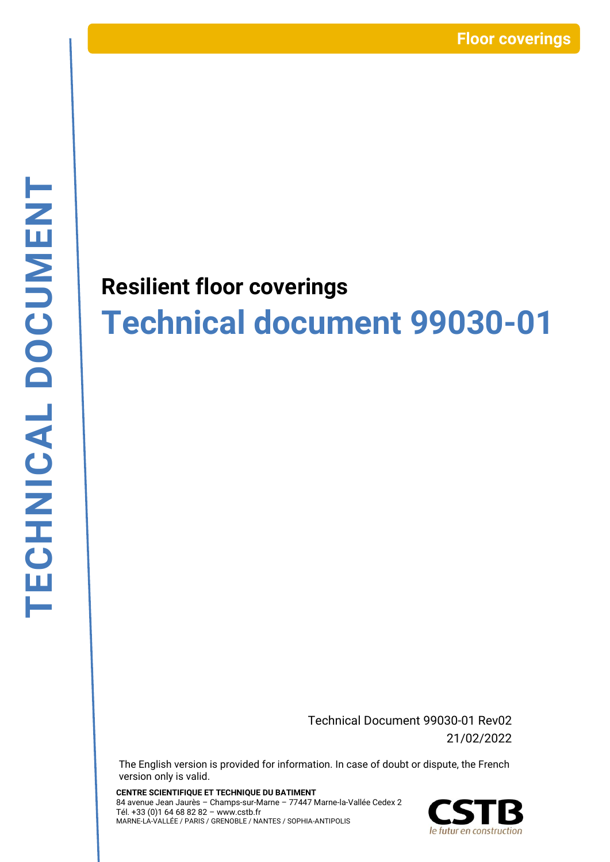# **Resilient floor coverings Technical document 99030-01**

Technical Document 99030-01 Rev02 21/02/2022

The English version is provided for information. In case of doubt or dispute, the French version only is valid.

**CENTRE SCIENTIFIQUE ET TECHNIQUE DU BATIMENT** 84 avenue Jean Jaurès – Champs-sur-Marne – 77447 Marne-la-Vallée Cedex 2 Tél. +33 (0)1 64 68 82 82 – www.cstb.fr MARNE-LA-VALLÉE / PARIS / GRENOBLE / NANTES / SOPHIA-ANTIPOLIS

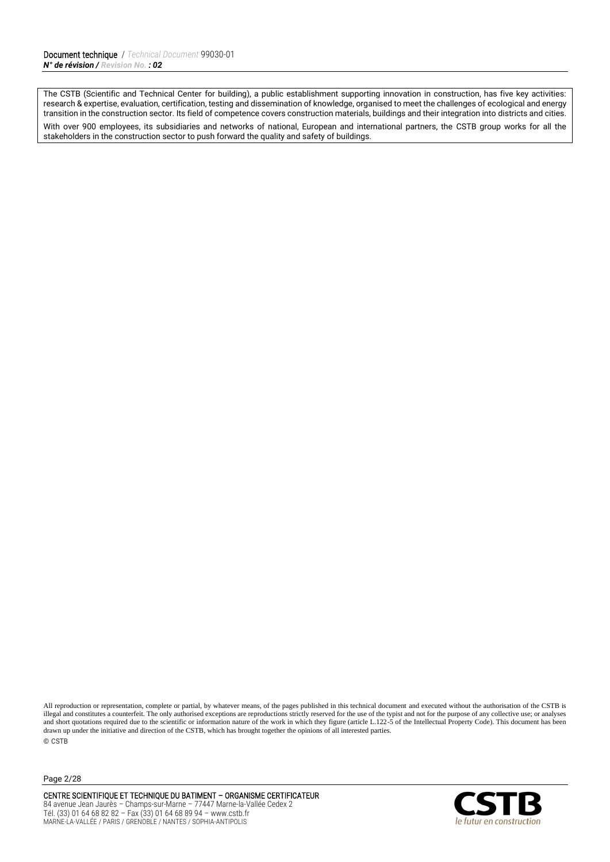The CSTB (Scientific and Technical Center for building), a public establishment supporting innovation in construction, has five key activities: research & expertise, evaluation, certification, testing and dissemination of knowledge, organised to meet the challenges of ecological and energy transition in the construction sector. Its field of competence covers construction materials, buildings and their integration into districts and cities. With over 900 employees, its subsidiaries and networks of national, European and international partners, the CSTB group works for all the stakeholders in the construction sector to push forward the quality and safety of buildings.

All reproduction or representation, complete or partial, by whatever means, of the pages published in this technical document and executed without the authorisation of the CSTB is illegal and constitutes a counterfeit. The only authorised exceptions are reproductions strictly reserved for the use of the typist and not for the purpose of any collective use; or analyses and short quotations required due to the scientific or information nature of the work in which they figure (article L.122-5 of the Intellectual Property Code). This document has been drawn up under the initiative and direction of the CSTB, which has brought together the opinions of all interested parties. © CSTB

Page 2/28

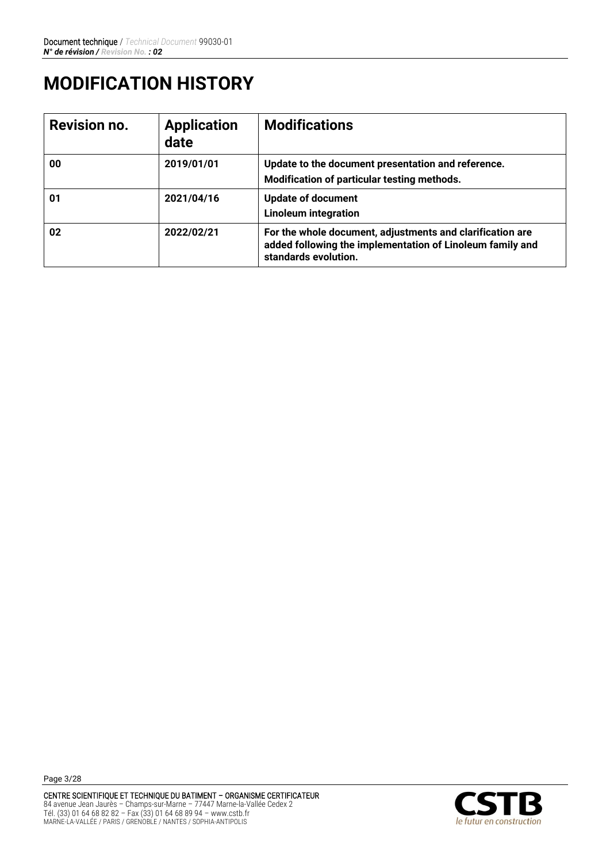# **MODIFICATION HISTORY**

| <b>Revision no.</b> | <b>Application</b><br>date | <b>Modifications</b>                                                                                                                           |
|---------------------|----------------------------|------------------------------------------------------------------------------------------------------------------------------------------------|
| 00                  | 2019/01/01                 | Update to the document presentation and reference.<br>Modification of particular testing methods.                                              |
| 01                  | 2021/04/16                 | <b>Update of document</b><br><b>Linoleum integration</b>                                                                                       |
| 02                  | 2022/02/21                 | For the whole document, adjustments and clarification are<br>added following the implementation of Linoleum family and<br>standards evolution. |

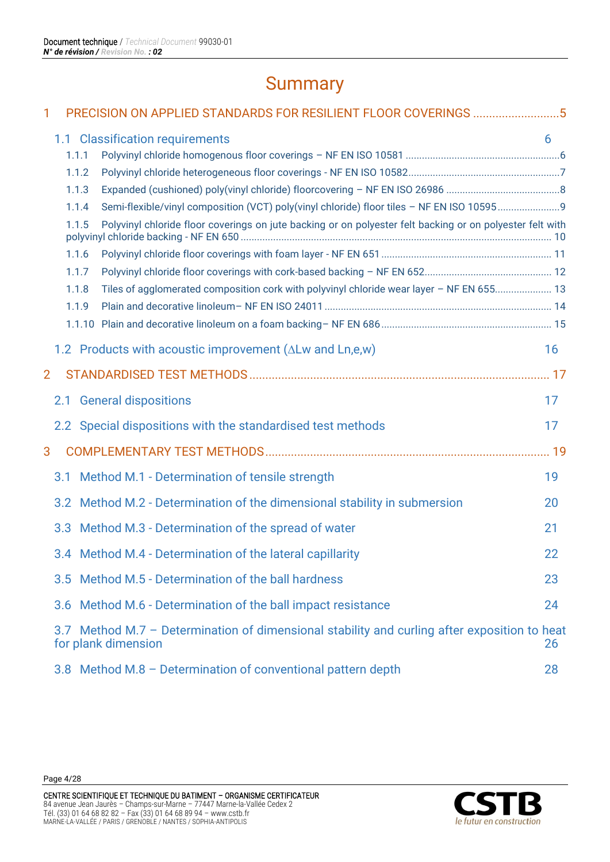# **Summary**

| 1              |     |       | PRECISION ON APPLIED STANDARDS FOR RESILIENT FLOOR COVERINGS 5                                                      |    |
|----------------|-----|-------|---------------------------------------------------------------------------------------------------------------------|----|
|                |     |       | 1.1 Classification requirements                                                                                     | 6  |
|                |     | 1.1.1 |                                                                                                                     |    |
|                |     | 1.1.2 |                                                                                                                     |    |
|                |     | 1.1.3 |                                                                                                                     |    |
|                |     | 1.1.4 |                                                                                                                     |    |
|                |     | 1.1.5 | Polyvinyl chloride floor coverings on jute backing or on polyester felt backing or on polyester felt with           |    |
|                |     | 1.1.6 |                                                                                                                     |    |
|                |     | 1.1.7 |                                                                                                                     |    |
|                |     | 1.1.8 | Tiles of agglomerated composition cork with polyvinyl chloride wear layer - NF EN 655 13                            |    |
|                |     | 1.1.9 |                                                                                                                     |    |
|                |     |       |                                                                                                                     |    |
|                |     |       | 1.2 Products with acoustic improvement ( $\Delta$ Lw and Ln,e,w)                                                    | 16 |
| $\overline{2}$ |     |       |                                                                                                                     |    |
|                | 2.1 |       | <b>General dispositions</b>                                                                                         | 17 |
|                |     |       | 2.2 Special dispositions with the standardised test methods                                                         | 17 |
| 3              |     |       |                                                                                                                     |    |
|                | 3.1 |       | Method M.1 - Determination of tensile strength                                                                      | 19 |
|                |     |       | 3.2 Method M.2 - Determination of the dimensional stability in submersion                                           | 20 |
|                |     |       | 3.3 Method M.3 - Determination of the spread of water                                                               | 21 |
|                |     |       | 3.4 Method M.4 - Determination of the lateral capillarity                                                           | 22 |
|                |     |       | 3.5 Method M.5 - Determination of the ball hardness                                                                 | 23 |
|                |     |       | 3.6 Method M.6 - Determination of the ball impact resistance                                                        | 24 |
|                |     |       | 3.7 Method M.7 – Determination of dimensional stability and curling after exposition to heat<br>for plank dimension | 26 |
|                |     |       | 3.8 Method M.8 - Determination of conventional pattern depth                                                        | 28 |

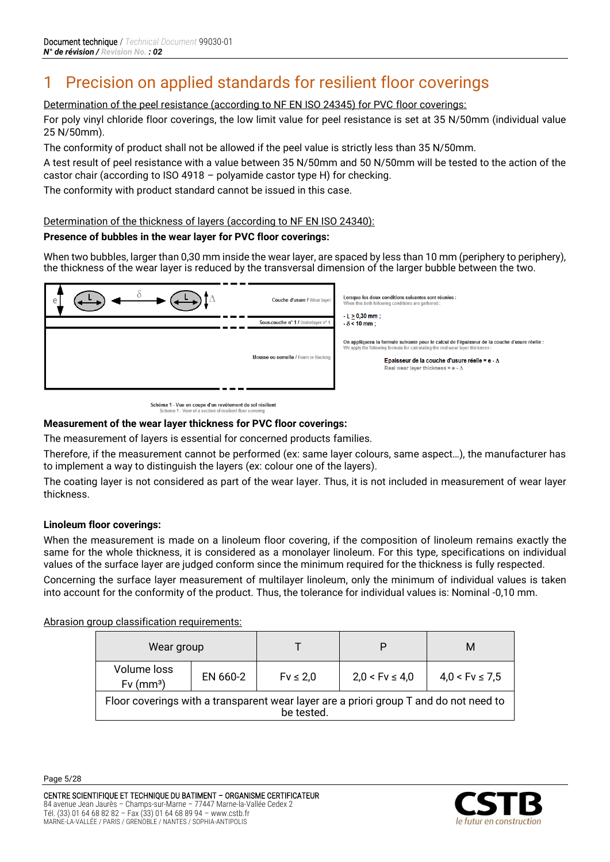# <span id="page-4-0"></span>1 Precision on applied standards for resilient floor coverings

Determination of the peel resistance (according to NF EN ISO 24345) for PVC floor coverings:

For poly vinyl chloride floor coverings, the low limit value for peel resistance is set at 35 N/50mm (individual value 25 N/50mm).

The conformity of product shall not be allowed if the peel value is strictly less than 35 N/50mm.

A test result of peel resistance with a value between 35 N/50mm and 50 N/50mm will be tested to the action of the castor chair (according to ISO 4918 – polyamide castor type H) for checking.

The conformity with product standard cannot be issued in this case.

#### Determination of the thickness of layers (according to NF EN ISO 24340):

#### **Presence of bubbles in the wear layer for PVC floor coverings:**

When two bubbles, larger than 0,30 mm inside the wear layer, are spaced by less than 10 mm (periphery to periphery), the thickness of the wear layer is reduced by the transversal dimension of the larger bubble between the two.

| е | Couche d'usure / Wear layer<br>Sous-couche nº 1 / Underlayer nº 1 | Lorsque les deux conditions suivantes sont réunies :<br>When this both following conditions are gathered:<br>$-L > 0,30$ mm;<br>$-8 < 10$ mm;                                                                                                                                      |
|---|-------------------------------------------------------------------|------------------------------------------------------------------------------------------------------------------------------------------------------------------------------------------------------------------------------------------------------------------------------------|
|   | Mousse ou semelle / Foam or Backing                               | On appliquera la formule suivante pour le calcul de l'épaisseur de la couche d'usure réelle :<br>We apply the following formula for calculating the real wear layer thickness:<br>Epaisseur de la couche d'usure réelle = e - $\Delta$<br>Real wear layer thickness = e - $\Delta$ |

Schéma 1 - Vue en coupe d'un revêtement de sol résilient<br>Schema 1 - View of a section of resilient floor covering

#### **Measurement of the wear layer thickness for PVC floor coverings:**

The measurement of layers is essential for concerned products families.

Therefore, if the measurement cannot be performed (ex: same layer colours, same aspect…), the manufacturer has to implement a way to distinguish the layers (ex: colour one of the layers).

The coating layer is not considered as part of the wear layer. Thus, it is not included in measurement of wear layer thickness.

#### **Linoleum floor coverings:**

When the measurement is made on a linoleum floor covering, if the composition of linoleum remains exactly the same for the whole thickness, it is considered as a monolayer linoleum. For this type, specifications on individual values of the surface layer are judged conform since the minimum required for the thickness is fully respected.

Concerning the surface layer measurement of multilayer linoleum, only the minimum of individual values is taken into account for the conformity of the product. Thus, the tolerance for individual values is: Nominal -0,10 mm.

Abrasion group classification requirements:

| Wear group                                                                                          |          |               |                    | M                  |  |
|-----------------------------------------------------------------------------------------------------|----------|---------------|--------------------|--------------------|--|
| Volume loss<br>$Fv$ (mm <sup>3</sup> )                                                              | EN 660-2 | $Fv \leq 2.0$ | $2,0 < Fv \le 4,0$ | $4.0 < Fv \le 7.5$ |  |
| Floor coverings with a transparent wear layer are a priori group T and do not need to<br>be tested. |          |               |                    |                    |  |

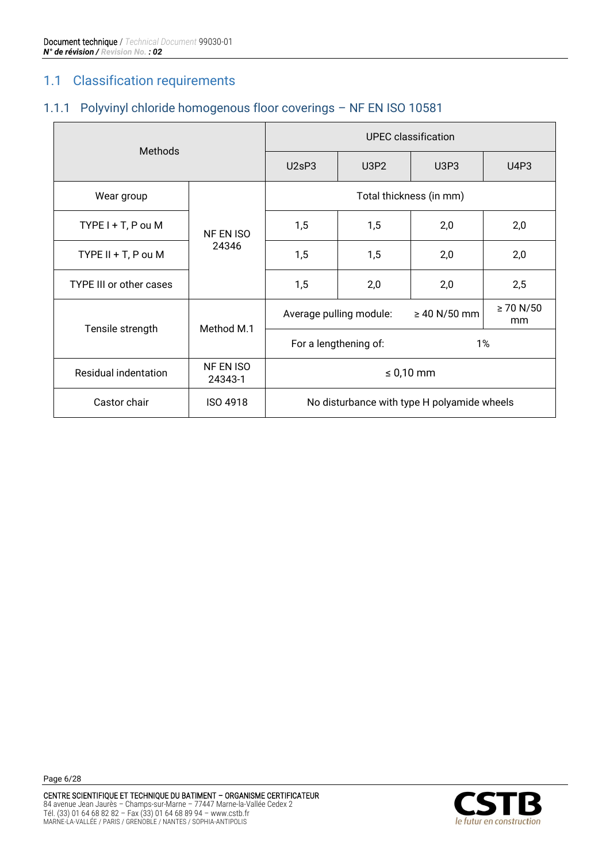# <span id="page-5-0"></span>1.1 Classification requirements

### <span id="page-5-1"></span>1.1.1 Polyvinyl chloride homogenous floor coverings – NF EN ISO 10581

|                         |                      | UPEC classification     |                         |                                             |                      |  |
|-------------------------|----------------------|-------------------------|-------------------------|---------------------------------------------|----------------------|--|
|                         | <b>Methods</b>       |                         | U3P <sub>2</sub>        | <b>U3P3</b>                                 | U4P3                 |  |
| Wear group              |                      | Total thickness (in mm) |                         |                                             |                      |  |
| $TYPE I + T$ , P ou M   | NF EN ISO            | 1,5                     | 1,5                     | 2,0                                         | 2,0                  |  |
| TYPE $II + T$ , P ou M  | 24346                | 1,5                     | 1,5                     | 2,0                                         | 2,0                  |  |
| TYPE III or other cases |                      | 1,5                     | 2,0                     | 2,0                                         | 2,5                  |  |
| Tensile strength        | Method M.1           |                         | Average pulling module: | $\geq 40$ N/50 mm                           | $\geq 70 N/50$<br>mm |  |
|                         |                      |                         | For a lengthening of:   | 1%                                          |                      |  |
| Residual indentation    | NF EN ISO<br>24343-1 | $\leq 0.10$ mm          |                         |                                             |                      |  |
| Castor chair            | ISO 4918             |                         |                         | No disturbance with type H polyamide wheels |                      |  |

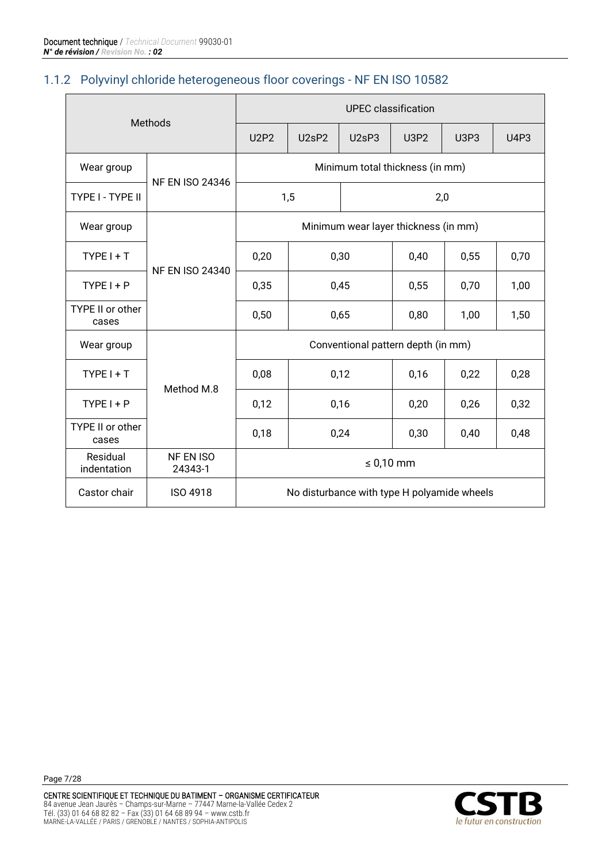#### <span id="page-6-0"></span>1.1.2 Polyvinyl chloride heterogeneous floor coverings - NF EN ISO 10582

| Methods                          |                        | <b>UPEC</b> classification         |                                 |                                |                                             |             |             |
|----------------------------------|------------------------|------------------------------------|---------------------------------|--------------------------------|---------------------------------------------|-------------|-------------|
|                                  |                        | <b>U2P2</b>                        | U <sub>2</sub> sP <sub>2</sub>  | U <sub>2</sub> sP <sub>3</sub> | <b>U3P2</b>                                 | <b>U3P3</b> | <b>U4P3</b> |
| Wear group                       | <b>NF EN ISO 24346</b> |                                    | Minimum total thickness (in mm) |                                |                                             |             |             |
| TYPE I - TYPE II                 |                        |                                    | 1,5                             |                                | 2,0                                         |             |             |
| Wear group                       |                        |                                    |                                 |                                | Minimum wear layer thickness (in mm)        |             |             |
| $TYPEI + T$                      | <b>NF EN ISO 24340</b> | 0,20                               |                                 | 0,30                           | 0,40                                        | 0,55        | 0,70        |
| $TYPE I + P$                     |                        | 0,35                               |                                 | 0,45                           | 0,55                                        | 0,70        | 1,00        |
| TYPE II or other<br>cases        |                        | 0,50                               | 0,65                            |                                | 0,80                                        | 1,00        | 1,50        |
| Wear group                       |                        | Conventional pattern depth (in mm) |                                 |                                |                                             |             |             |
| $TYPEI + T$                      | Method M.8             | 0,08                               |                                 | 0,12                           | 0,16                                        | 0,22        | 0,28        |
| $TYPE I + P$                     |                        | 0,12                               |                                 | 0,16                           | 0,20                                        | 0,26        | 0,32        |
| <b>TYPE II or other</b><br>cases |                        | 0,18                               |                                 | 0,24                           | 0,30                                        | 0,40        | 0,48        |
| Residual<br>indentation          | NF EN ISO<br>24343-1   | $\leq 0.10$ mm                     |                                 |                                |                                             |             |             |
| Castor chair                     | <b>ISO 4918</b>        |                                    |                                 |                                | No disturbance with type H polyamide wheels |             |             |

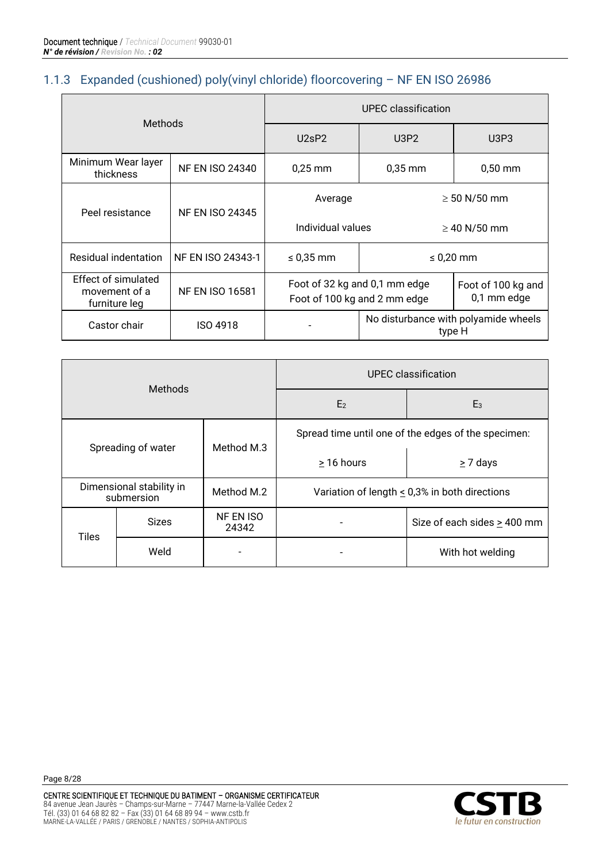#### <span id="page-7-0"></span>1.1.3 Expanded (cushioned) poly(vinyl chloride) floorcovering – NF EN ISO 26986

| <b>Methods</b>                                               |                        | UPEC classification                    |                                                               |                                                |  |
|--------------------------------------------------------------|------------------------|----------------------------------------|---------------------------------------------------------------|------------------------------------------------|--|
|                                                              |                        | U2sP2<br>U3P2                          |                                                               | U3P3                                           |  |
| Minimum Wear layer<br>thickness                              | <b>NF EN ISO 24340</b> | $0,25$ mm                              | $0,35$ mm                                                     | $0,50$ mm                                      |  |
| Peel resistance                                              | <b>NF EN ISO 24345</b> | Average                                |                                                               | $\geq 50$ N/50 mm                              |  |
|                                                              |                        | Individual values<br>$\geq$ 40 N/50 mm |                                                               |                                                |  |
| Residual indentation                                         | NF EN ISO 24343-1      | $\leq 0.35$ mm                         | $\leq 0.20$ mm                                                |                                                |  |
| <b>Effect of simulated</b><br>movement of a<br>furniture leg | <b>NF EN ISO 16581</b> |                                        | Foot of 32 kg and 0,1 mm edge<br>Foot of 100 kg and 2 mm edge | Foot of 100 kg and<br>0,1 mm edge              |  |
| Castor chair                                                 | <b>ISO 4918</b>        |                                        |                                                               | No disturbance with polyamide wheels<br>type H |  |

| <b>Methods</b> |                                        |            |                                                    | <b>UPEC</b> classification                          |
|----------------|----------------------------------------|------------|----------------------------------------------------|-----------------------------------------------------|
|                |                                        |            | E <sub>2</sub>                                     | $E_3$                                               |
|                | Spreading of water                     |            |                                                    | Spread time until one of the edges of the specimen: |
|                |                                        | Method M.3 | > 16 hours                                         | $\geq$ 7 days                                       |
|                | Dimensional stability in<br>submersion |            | Variation of length $\leq$ 0,3% in both directions |                                                     |
| <b>Tiles</b>   | <b>Sizes</b>                           |            |                                                    | Size of each sides $\geq$ 400 mm                    |
|                | Weld                                   |            |                                                    | With hot welding                                    |

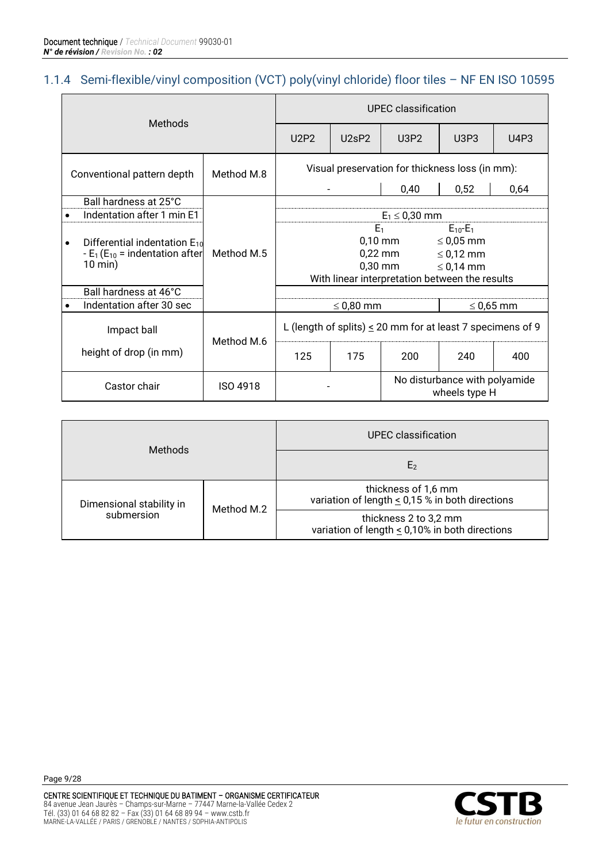#### <span id="page-8-0"></span>1.1.4 Semi-flexible/vinyl composition (VCT) poly(vinyl chloride) floor tiles – NF EN ISO 10595

| <b>Methods</b>                                                                              |                 | UPEC classification |                                |                                                                 |                                                    |                |
|---------------------------------------------------------------------------------------------|-----------------|---------------------|--------------------------------|-----------------------------------------------------------------|----------------------------------------------------|----------------|
|                                                                                             |                 | U2P2                | U <sub>2</sub> sP <sub>2</sub> | U3P2                                                            | U3P3                                               | U4P3           |
| Conventional pattern depth                                                                  | Method M.8      |                     |                                | Visual preservation for thickness loss (in mm):                 |                                                    |                |
|                                                                                             |                 |                     |                                | 0,40                                                            | 0,52                                               | 0,64           |
| Ball hardness at 25°C                                                                       |                 |                     |                                |                                                                 |                                                    |                |
| Indentation after 1 min E1<br>$\bullet$                                                     |                 |                     |                                | $E_1 \le 0,30$ mm                                               |                                                    |                |
| Differential indentation $E_{10}$<br>$\bullet$<br>$-E_1(E_{10} = \text{indentation after})$ | Method M.5      |                     | E <sub>1</sub>                 | $0,10$ mm<br>$0,22$ mm                                          | $E_{10} - E_1$<br>$\leq 0.05$ mm<br>$\leq$ 0,12 mm |                |
| $10 \text{ min}$ )                                                                          |                 |                     |                                | $0,30$ mm<br>With linear interpretation between the results     | $\leq$ 0,14 mm                                     |                |
| Ball hardness at 46°C                                                                       |                 |                     |                                |                                                                 |                                                    |                |
| Indentation after 30 sec<br>٠                                                               |                 |                     | $\leq$ 0,80 mm                 |                                                                 |                                                    | $\leq$ 0,65 mm |
| Impact ball                                                                                 | Method M.6      |                     |                                | L (length of splits) $\leq$ 20 mm for at least 7 specimens of 9 |                                                    |                |
| height of drop (in mm)                                                                      |                 | 125                 | 175                            | 200                                                             | 240                                                | 400            |
| Castor chair                                                                                | <b>ISO 4918</b> |                     |                                |                                                                 | No disturbance with polyamide<br>wheels type H     |                |

| <b>Methods</b>                         |            | UPEC classification                                                          |
|----------------------------------------|------------|------------------------------------------------------------------------------|
|                                        |            | E <sub>2</sub>                                                               |
| Dimensional stability in<br>submersion |            | thickness of 1,6 mm<br>variation of length $\leq$ 0,15 % in both directions  |
|                                        | Method M.2 | thickness 2 to 3,2 mm<br>variation of length $\leq$ 0,10% in both directions |

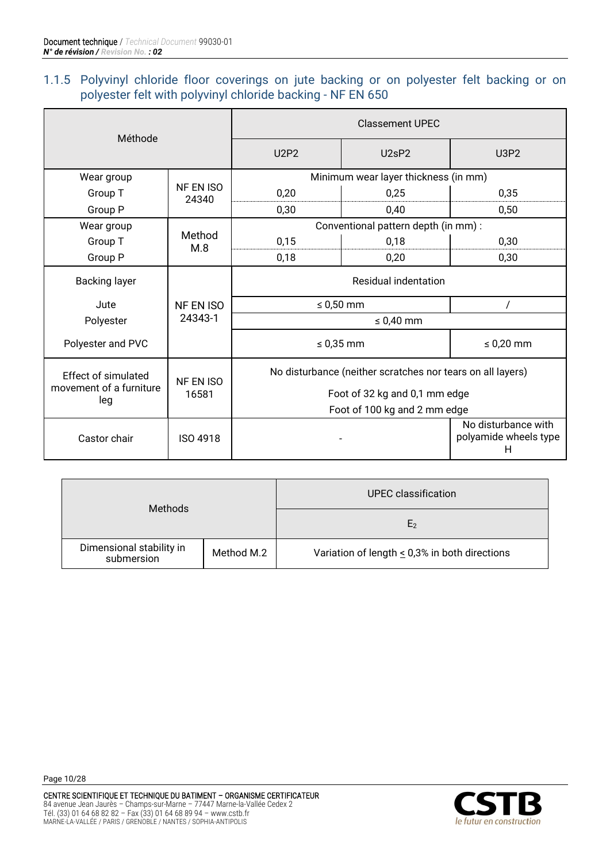### <span id="page-9-0"></span>1.1.5 Polyvinyl chloride floor coverings on jute backing or on polyester felt backing or on polyester felt with polyvinyl chloride backing - NF EN 650

| Méthode                        |                    | <b>Classement UPEC</b>                                     |                                      |                                                   |  |
|--------------------------------|--------------------|------------------------------------------------------------|--------------------------------------|---------------------------------------------------|--|
|                                |                    |                                                            | U2sP2                                | <b>U3P2</b>                                       |  |
| Wear group                     |                    | Minimum wear layer thickness (in mm)                       |                                      |                                                   |  |
| Group T                        | NF EN ISO<br>24340 | 0,20                                                       | 0,25                                 | 0,35                                              |  |
| Group P                        |                    | 0,30                                                       | 0,40                                 | 0,50                                              |  |
| Wear group                     |                    |                                                            | Conventional pattern depth (in mm) : |                                                   |  |
| Group T                        | Method<br>M.8      | 0,15                                                       | 0,18                                 | 0,30                                              |  |
| Group P                        |                    | 0,18                                                       | 0,20                                 | 0,30                                              |  |
| <b>Backing layer</b>           |                    |                                                            | Residual indentation                 |                                                   |  |
| Jute                           | NF EN ISO          | $\leq 0.50$ mm                                             |                                      | $\prime$                                          |  |
| Polyester                      | 24343-1            | $\leq 0,40$ mm                                             |                                      |                                                   |  |
| Polyester and PVC              |                    |                                                            | $\leq 0.35$ mm                       | $\leq 0,20$ mm                                    |  |
| Effect of simulated            | <b>NF EN ISO</b>   | No disturbance (neither scratches nor tears on all layers) |                                      |                                                   |  |
| movement of a furniture<br>leg | 16581              | Foot of 32 kg and 0,1 mm edge                              |                                      |                                                   |  |
|                                |                    |                                                            | Foot of 100 kg and 2 mm edge         |                                                   |  |
| Castor chair                   | ISO 4918           |                                                            |                                      | No disturbance with<br>polyamide wheels type<br>н |  |

| <b>Methods</b>                                       |  | <b>UPEC</b> classification                         |  |  |
|------------------------------------------------------|--|----------------------------------------------------|--|--|
|                                                      |  | E <sub>2</sub>                                     |  |  |
| Dimensional stability in<br>Method M.2<br>submersion |  | Variation of length $\leq$ 0,3% in both directions |  |  |

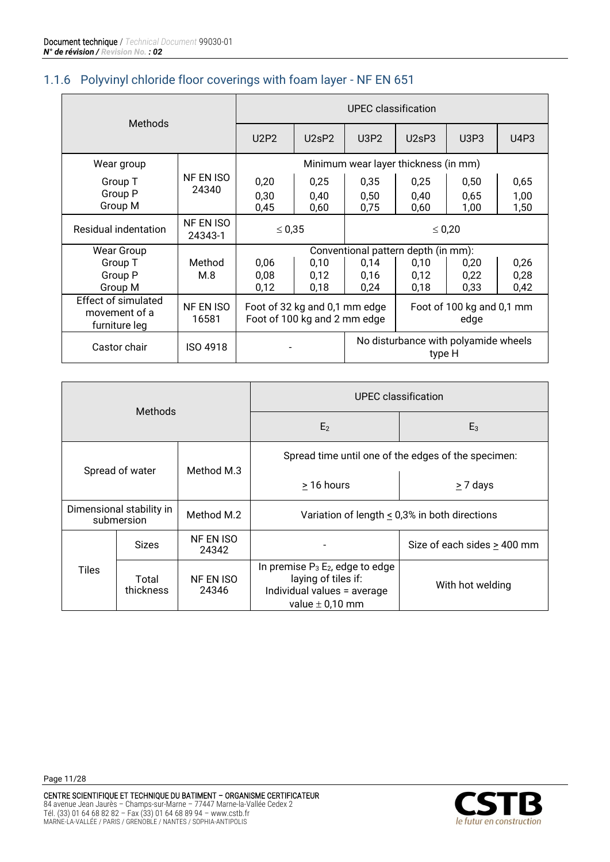#### <span id="page-10-0"></span>1.1.6 Polyvinyl chloride floor coverings with foam layer - NF EN 651

| <b>Methods</b>                                               |                      | <b>UPEC</b> classification                                                                 |                      |                      |                      |                      |                      |
|--------------------------------------------------------------|----------------------|--------------------------------------------------------------------------------------------|----------------------|----------------------|----------------------|----------------------|----------------------|
|                                                              |                      | U2P2                                                                                       | U2sP2                | U3P2                 | U2sP3                | U3P3                 | U4P3                 |
| Wear group                                                   |                      | Minimum wear layer thickness (in mm)                                                       |                      |                      |                      |                      |                      |
| Group T<br>Group P<br>Group M                                | NF EN ISO<br>24340   | 0,20<br>0,30<br>0,45                                                                       | 0,25<br>0,40<br>0,60 | 0,35<br>0,50<br>0,75 | 0,25<br>0,40<br>0,60 | 0,50<br>0,65<br>1,00 | 0,65<br>1,00<br>1,50 |
| Residual indentation                                         | NF EN ISO<br>24343-1 | $\leq 0.35$                                                                                |                      | $\leq 0,20$          |                      |                      |                      |
| <b>Wear Group</b>                                            |                      | Conventional pattern depth (in mm):                                                        |                      |                      |                      |                      |                      |
| Group T                                                      | Method               | 0,06                                                                                       | 0,10                 | 0,14                 | 0,10                 | 0,20                 | 0,26                 |
| Group P                                                      | M.8                  | 0,08                                                                                       | 0,12                 | 0,16                 | 0,12                 | 0,22                 | 0,28                 |
| Group M                                                      |                      | 0,12                                                                                       | 0,18                 | 0,24                 | 0,18                 | 0,33                 | 0,42                 |
| <b>Effect of simulated</b><br>movement of a<br>furniture leg | NF EN ISO<br>16581   | Foot of 100 kg and 0,1 mm<br>Foot of 32 kg and 0,1 mm edge<br>Foot of 100 kg and 2 mm edge |                      | edge                 |                      |                      |                      |
| Castor chair                                                 | <b>ISO 4918</b>      | No disturbance with polyamide wheels<br>type H                                             |                      |                      |                      |                      |                      |

| <b>Methods</b> |                                                      | UPEC classification       |                                                                                                                    |                                                     |  |
|----------------|------------------------------------------------------|---------------------------|--------------------------------------------------------------------------------------------------------------------|-----------------------------------------------------|--|
|                |                                                      | E <sub>2</sub>            | $E_3$                                                                                                              |                                                     |  |
|                | Method M.3<br>Spread of water                        |                           |                                                                                                                    | Spread time until one of the edges of the specimen: |  |
|                |                                                      |                           | > 16 hours<br>$\geq$ 7 days                                                                                        |                                                     |  |
|                | Dimensional stability in<br>Method M.2<br>submersion |                           | Variation of length $\leq$ 0,3% in both directions                                                                 |                                                     |  |
|                | <b>Sizes</b>                                         | NF EN ISO<br>24342        |                                                                                                                    | Size of each sides $\geq$ 400 mm                    |  |
| Tiles          | Total<br>thickness                                   | <b>NF EN ISO</b><br>24346 | In premise $P_3$ $E_2$ , edge to edge<br>laying of tiles if:<br>Individual values = average<br>value $\pm$ 0,10 mm | With hot welding                                    |  |

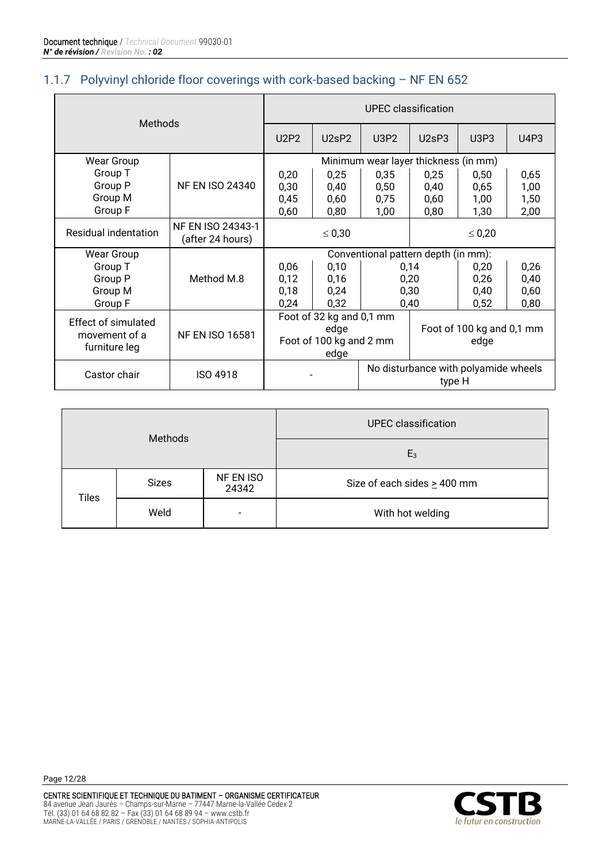# <span id="page-11-0"></span>1.1.7 Polyvinyl chloride floor coverings with cork-based backing – NF EN 652

| <b>Methods</b>                                               |                                       | UPEC classification                                                 |       |                                      |                                                |      |      |
|--------------------------------------------------------------|---------------------------------------|---------------------------------------------------------------------|-------|--------------------------------------|------------------------------------------------|------|------|
|                                                              |                                       | <b>U2P2</b>                                                         | U2sP2 | U3P2                                 | U2sP3                                          | U3P3 | U4P3 |
| <b>Wear Group</b>                                            |                                       |                                                                     |       | Minimum wear layer thickness (in mm) |                                                |      |      |
| Group T                                                      |                                       | 0,20                                                                | 0,25  | 0,35                                 | 0,25                                           | 0,50 | 0,65 |
| Group P                                                      | <b>NF EN ISO 24340</b>                | 0,30                                                                | 0,40  | 0,50                                 | 0,40                                           | 0,65 | 1,00 |
| Group M                                                      |                                       | 0,45                                                                | 0,60  | 0,75                                 | 0,60                                           | 1,00 | 1,50 |
| Group F                                                      |                                       | 0,60                                                                | 0,80  | 1,00                                 | 0,80                                           | 1,30 | 2,00 |
| Residual indentation                                         | NF EN ISO 24343-1<br>(after 24 hours) | $\leq 0,30$                                                         |       | $\leq 0.20$                          |                                                |      |      |
| <b>Wear Group</b>                                            |                                       | Conventional pattern depth (in mm):                                 |       |                                      |                                                |      |      |
| Group T                                                      |                                       | 0,06                                                                | 0,10  |                                      | 0,14                                           | 0,20 | 0,26 |
| Group P                                                      | Method M.8                            | 0,12                                                                | 0,16  |                                      | 0,20                                           | 0,26 | 0,40 |
| Group M                                                      |                                       | 0,18                                                                | 0,24  |                                      | 0,30                                           | 0,40 | 0,60 |
| Group F                                                      |                                       | 0,24                                                                | 0,32  |                                      | 0,40                                           | 0,52 | 0,80 |
| <b>Effect of simulated</b><br>movement of a<br>furniture leg | <b>NF EN ISO 16581</b>                | Foot of 32 kg and 0,1 mm<br>edge<br>Foot of 100 kg and 2 mm<br>edge |       | Foot of 100 kg and 0,1 mm<br>edge    |                                                |      |      |
| Castor chair                                                 | ISO 4918                              |                                                                     |       |                                      | No disturbance with polyamide wheels<br>type H |      |      |

<span id="page-11-1"></span>

| <b>Methods</b> |              |                          | <b>UPEC</b> classification       |  |
|----------------|--------------|--------------------------|----------------------------------|--|
|                |              |                          | $E_3$                            |  |
| <b>Tiles</b>   | <b>Sizes</b> | NF EN ISO<br>24342       | Size of each sides $\geq$ 400 mm |  |
|                | Weld         | $\overline{\phantom{a}}$ | With hot welding                 |  |

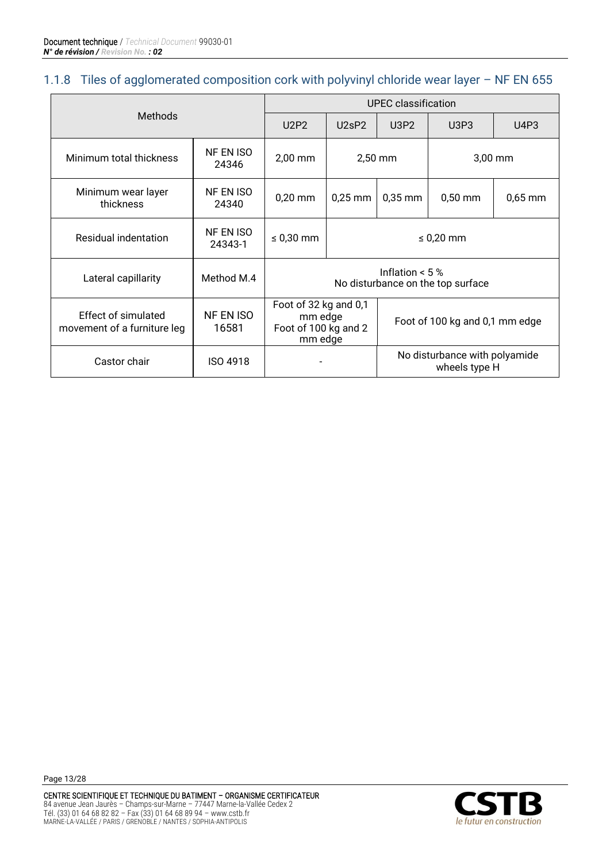#### 1.1.8 Tiles of agglomerated composition cork with polyvinyl chloride wear layer – NF EN 655

| <b>Methods</b>                                            |                      | <b>UPEC</b> classification                                          |           |                                |                                                |           |
|-----------------------------------------------------------|----------------------|---------------------------------------------------------------------|-----------|--------------------------------|------------------------------------------------|-----------|
|                                                           |                      | <b>U2P2</b>                                                         | U2sP2     | U3P2                           | U3P3                                           | U4P3      |
| Minimum total thickness                                   | NF EN ISO<br>24346   | $2,00$ mm<br>$2,50$ mm                                              |           |                                | $3,00$ mm                                      |           |
| Minimum wear layer<br>thickness                           | NF EN ISO<br>24340   | $0,20$ mm                                                           | $0,25$ mm | $0,35$ mm                      | $0,50$ mm                                      | $0,65$ mm |
| Residual indentation                                      | NF EN ISO<br>24343-1 | $\leq$ 0,30 mm                                                      |           |                                | $\leq$ 0,20 mm                                 |           |
| Lateral capillarity                                       | Method M.4           | Inflation $< 5 \%$<br>No disturbance on the top surface             |           |                                |                                                |           |
| <b>Effect of simulated</b><br>movement of a furniture leg | NF EN ISO<br>16581   | Foot of 32 kg and 0,1<br>mm edge<br>Foot of 100 kg and 2<br>mm edge |           | Foot of 100 kg and 0,1 mm edge |                                                |           |
| Castor chair                                              | ISO 4918             |                                                                     |           |                                | No disturbance with polyamide<br>wheels type H |           |

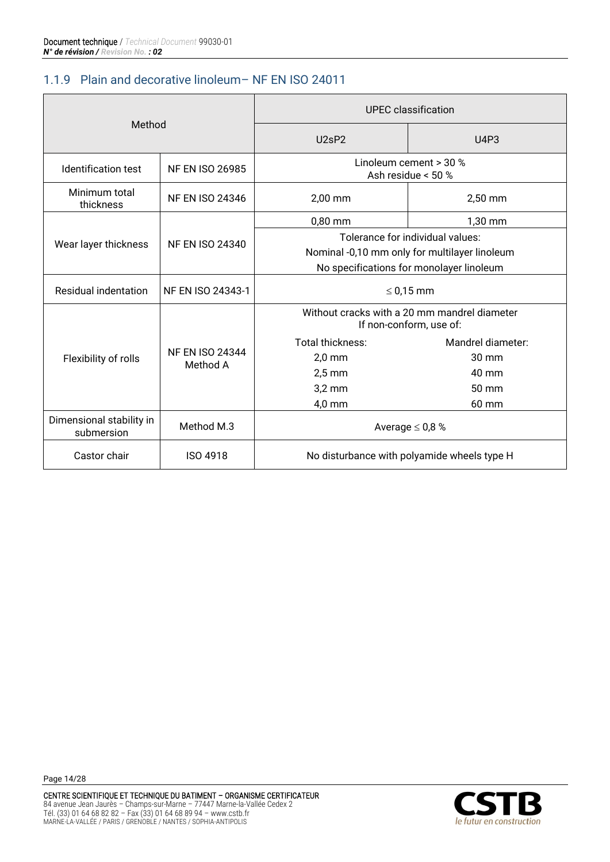#### <span id="page-13-0"></span>1.1.9 Plain and decorative linoleum– NF EN ISO 24011

| Method                                 |                                    | <b>UPEC</b> classification                                              |                                  |  |  |
|----------------------------------------|------------------------------------|-------------------------------------------------------------------------|----------------------------------|--|--|
|                                        |                                    | U <sub>2</sub> sP <sub>2</sub>                                          | <b>U4P3</b>                      |  |  |
| <b>Identification test</b>             | <b>NF EN ISO 26985</b>             | Linoleum cement > 30 %<br>Ash residue < 50 %                            |                                  |  |  |
| Minimum total<br>thickness             | <b>NF EN ISO 24346</b>             | 2,00 mm                                                                 | 2,50 mm                          |  |  |
|                                        |                                    | $0,80$ mm                                                               | 1,30 mm                          |  |  |
| Wear layer thickness                   | <b>NF EN ISO 24340</b>             |                                                                         | Tolerance for individual values: |  |  |
|                                        |                                    | Nominal -0,10 mm only for multilayer linoleum                           |                                  |  |  |
|                                        |                                    | No specifications for monolayer linoleum                                |                                  |  |  |
| Residual indentation                   | NF EN ISO 24343-1                  | $\leq$ 0,15 mm                                                          |                                  |  |  |
|                                        |                                    | Without cracks with a 20 mm mandrel diameter<br>If non-conform, use of: |                                  |  |  |
|                                        |                                    | Total thickness:                                                        | Mandrel diameter:                |  |  |
| Flexibility of rolls                   | <b>NF EN ISO 24344</b><br>Method A | $2,0$ mm                                                                | 30 mm                            |  |  |
|                                        |                                    | $2,5$ mm                                                                | 40 mm                            |  |  |
|                                        |                                    | $3,2$ mm                                                                | 50 mm                            |  |  |
|                                        |                                    | 4,0 mm                                                                  | 60 mm                            |  |  |
| Dimensional stability in<br>submersion | Method M.3                         | Average $\leq$ 0,8 %                                                    |                                  |  |  |
| Castor chair                           | <b>ISO 4918</b>                    | No disturbance with polyamide wheels type H                             |                                  |  |  |

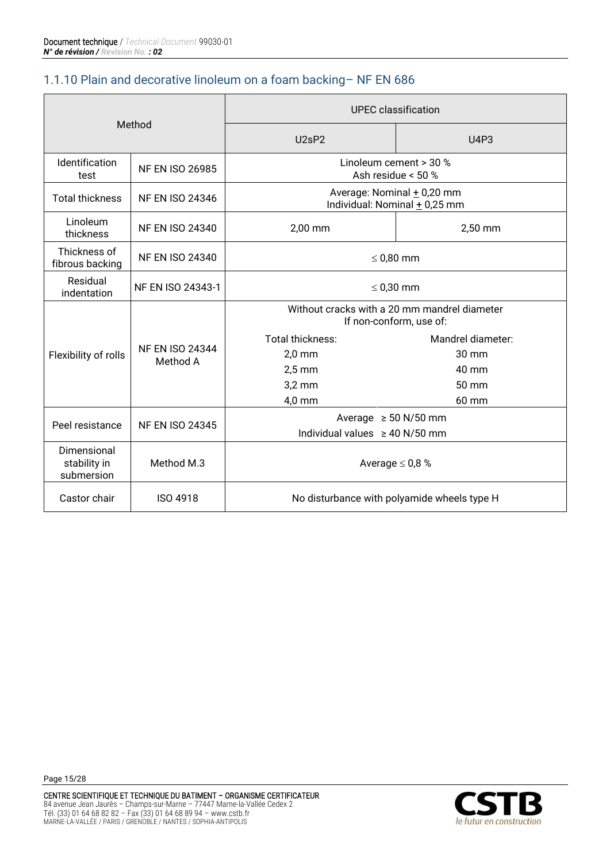#### <span id="page-14-0"></span>1.1.10 Plain and decorative linoleum on a foam backing– NF EN 686

| Method                                                  |                                    | <b>UPEC</b> classification                                              |                   |  |  |
|---------------------------------------------------------|------------------------------------|-------------------------------------------------------------------------|-------------------|--|--|
|                                                         |                                    | U2sP2                                                                   | <b>U4P3</b>       |  |  |
| <b>Identification</b><br><b>NF EN ISO 26985</b><br>test |                                    | Linoleum cement > 30 %<br>Ash residue < 50 %                            |                   |  |  |
| <b>Total thickness</b>                                  | <b>NF EN ISO 24346</b>             | Average: Nominal + 0,20 mm<br>Individual: Nominal + 0,25 mm             |                   |  |  |
| Linoleum<br>thickness                                   | <b>NF EN ISO 24340</b>             | 2,00 mm                                                                 | 2,50 mm           |  |  |
| Thickness of<br>fibrous backing                         | <b>NF EN ISO 24340</b>             | $\leq$ 0,80 mm                                                          |                   |  |  |
| Residual<br>indentation                                 | NF EN ISO 24343-1                  | $\leq$ 0,30 mm                                                          |                   |  |  |
|                                                         |                                    | Without cracks with a 20 mm mandrel diameter<br>If non-conform, use of: |                   |  |  |
|                                                         |                                    | Total thickness:                                                        | Mandrel diameter: |  |  |
| Flexibility of rolls                                    | <b>NF EN ISO 24344</b><br>Method A | $2,0$ mm                                                                | 30 mm             |  |  |
|                                                         |                                    | $2,5$ mm                                                                | 40 mm             |  |  |
|                                                         |                                    | $3,2$ mm                                                                | 50 mm             |  |  |
|                                                         |                                    | $4,0$ mm                                                                | 60 mm             |  |  |
|                                                         |                                    | Average $\geq 50$ N/50 mm                                               |                   |  |  |
| Peel resistance<br><b>NF EN ISO 24345</b>               |                                    | Individual values $\geq$ 40 N/50 mm                                     |                   |  |  |
| Dimensional<br>stability in<br>submersion               | Method M.3                         | Average $\leq$ 0,8 %                                                    |                   |  |  |
| Castor chair                                            | <b>ISO 4918</b>                    | No disturbance with polyamide wheels type H                             |                   |  |  |

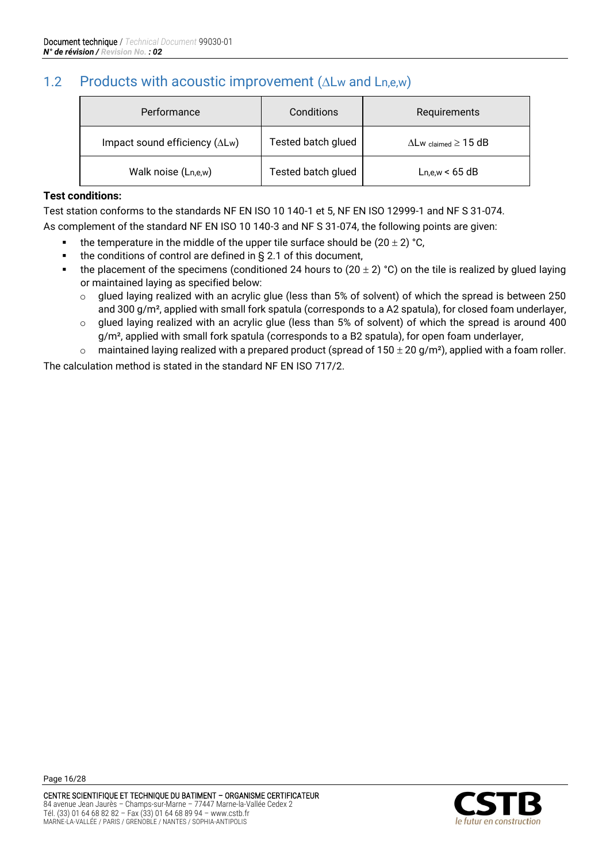# <span id="page-15-0"></span>1.2 Products with acoustic improvement  $(\Delta L_w$  and  $L_{n,e,w})$

| Performance                            | Conditions         | Requirements                            |
|----------------------------------------|--------------------|-----------------------------------------|
| Impact sound efficiency $(\Delta L w)$ | Tested batch glued | $\Delta$ Lw $_{\rm claimed} \geq 15$ dB |
| Walk noise (Ln,e,w)                    | Tested batch glued | Ln.e.w < 65 dB                          |

#### **Test conditions:**

Test station conforms to the standards NF EN ISO 10 140-1 et 5, NF EN ISO 12999-1 and NF S 31-074.

As complement of the standard NF EN ISO 10 140-3 and NF S 31-074, the following points are given:

- the temperature in the middle of the upper tile surface should be  $(20 \pm 2)$  °C,
- the conditions of control are defined in  $\S$  2.1 of this document,
- **•** the placement of the specimens (conditioned 24 hours to (20  $\pm$  2) °C) on the tile is realized by glued laying or maintained laying as specified below:
	- o glued laying realized with an acrylic glue (less than 5% of solvent) of which the spread is between 250 and 300 g/m<sup>2</sup>, applied with small fork spatula (corresponds to a A2 spatula), for closed foam underlayer,
	- o glued laying realized with an acrylic glue (less than 5% of solvent) of which the spread is around 400 g/m², applied with small fork spatula (corresponds to a B2 spatula), for open foam underlayer,
	- $\circ$  maintained laying realized with a prepared product (spread of 150  $\pm$  20 g/m<sup>2</sup>), applied with a foam roller.

The calculation method is stated in the standard NF EN ISO 717/2.

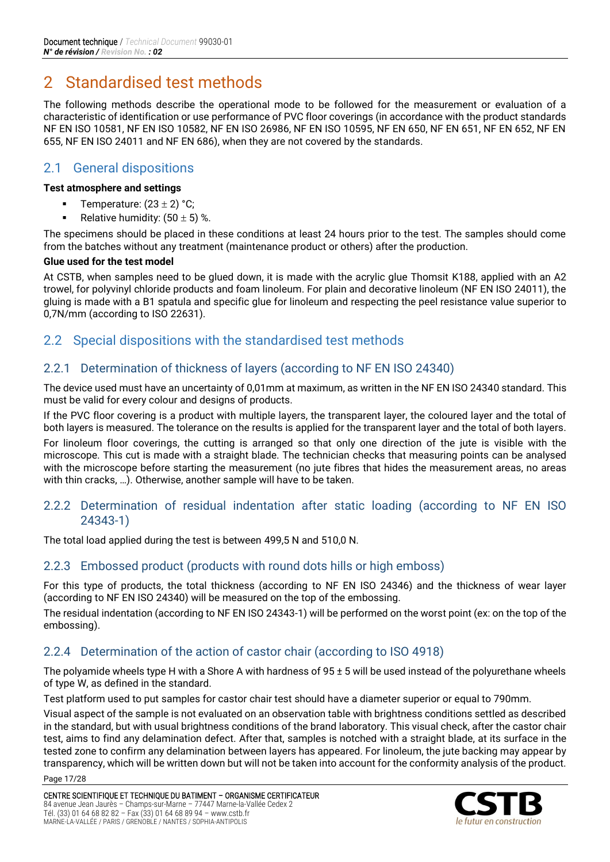# <span id="page-16-0"></span>2 Standardised test methods

The following methods describe the operational mode to be followed for the measurement or evaluation of a characteristic of identification or use performance of PVC floor coverings (in accordance with the product standards NF EN ISO 10581, NF EN ISO 10582, NF EN ISO 26986, NF EN ISO 10595, NF EN 650, NF EN 651, NF EN 652, NF EN 655, NF EN ISO 24011 and NF EN 686), when they are not covered by the standards.

# <span id="page-16-1"></span>2.1 General dispositions

#### **Test atmosphere and settings**

- Temperature:  $(23 \pm 2)$  °C;
- Relative humidity:  $(50 \pm 5)$  %.

The specimens should be placed in these conditions at least 24 hours prior to the test. The samples should come from the batches without any treatment (maintenance product or others) after the production.

#### **Glue used for the test model**

At CSTB, when samples need to be glued down, it is made with the acrylic glue Thomsit K188, applied with an A2 trowel, for polyvinyl chloride products and foam linoleum. For plain and decorative linoleum (NF EN ISO 24011), the gluing is made with a B1 spatula and specific glue for linoleum and respecting the peel resistance value superior to 0,7N/mm (according to ISO 22631).

#### <span id="page-16-2"></span>2.2 Special dispositions with the standardised test methods

#### 2.2.1 Determination of thickness of layers (according to NF EN ISO 24340)

The device used must have an uncertainty of 0,01mm at maximum, as written in the NF EN ISO 24340 standard. This must be valid for every colour and designs of products.

If the PVC floor covering is a product with multiple layers, the transparent layer, the coloured layer and the total of both layers is measured. The tolerance on the results is applied for the transparent layer and the total of both layers.

For linoleum floor coverings, the cutting is arranged so that only one direction of the jute is visible with the microscope. This cut is made with a straight blade. The technician checks that measuring points can be analysed with the microscope before starting the measurement (no jute fibres that hides the measurement areas, no areas with thin cracks, …). Otherwise, another sample will have to be taken.

#### 2.2.2 Determination of residual indentation after static loading (according to NF EN ISO 24343-1)

The total load applied during the test is between 499,5 N and 510,0 N.

#### 2.2.3 Embossed product (products with round dots hills or high emboss)

For this type of products, the total thickness (according to NF EN ISO 24346) and the thickness of wear layer (according to NF EN ISO 24340) will be measured on the top of the embossing.

The residual indentation (according to NF EN ISO 24343-1) will be performed on the worst point (ex: on the top of the embossing).

#### 2.2.4 Determination of the action of castor chair (according to ISO 4918)

The polyamide wheels type H with a Shore A with hardness of  $95 \pm 5$  will be used instead of the polyurethane wheels of type W, as defined in the standard.

Test platform used to put samples for castor chair test should have a diameter superior or equal to 790mm.

Visual aspect of the sample is not evaluated on an observation table with brightness conditions settled as described in the standard, but with usual brightness conditions of the brand laboratory. This visual check, after the castor chair test, aims to find any delamination defect. After that, samples is notched with a straight blade, at its surface in the tested zone to confirm any delamination between layers has appeared. For linoleum, the jute backing may appear by transparency, which will be written down but will not be taken into account for the conformity analysis of the product.

Page 17/28

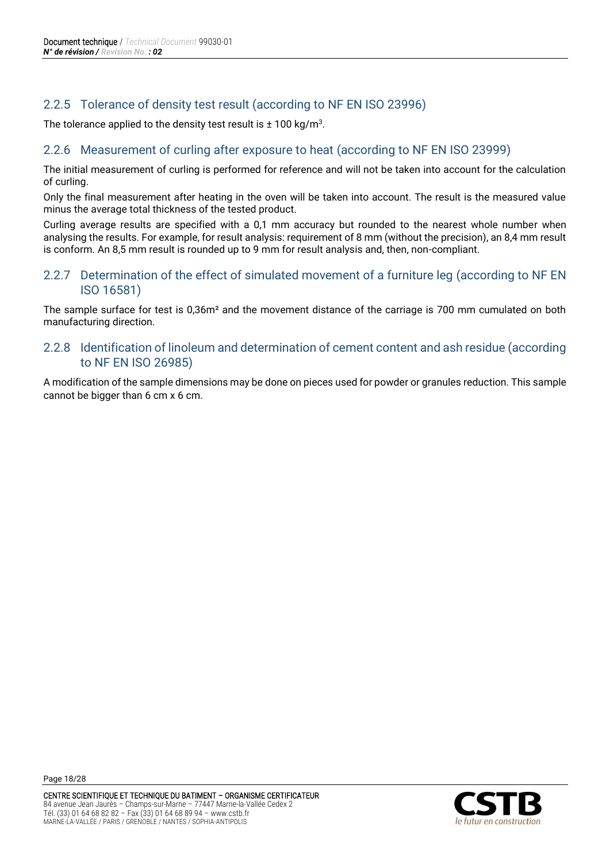#### 2.2.5 Tolerance of density test result (according to NF EN ISO 23996)

The tolerance applied to the density test result is  $\pm$  100 kg/m $^3$ .

#### 2.2.6 Measurement of curling after exposure to heat (according to NF EN ISO 23999)

The initial measurement of curling is performed for reference and will not be taken into account for the calculation of curling.

Only the final measurement after heating in the oven will be taken into account. The result is the measured value minus the average total thickness of the tested product.

Curling average results are specified with a 0,1 mm accuracy but rounded to the nearest whole number when analysing the results. For example, for result analysis: requirement of 8 mm (without the precision), an 8,4 mm result is conform. An 8,5 mm result is rounded up to 9 mm for result analysis and, then, non-compliant.

#### 2.2.7 Determination of the effect of simulated movement of a furniture leg (according to NF EN ISO 16581)

The sample surface for test is 0,36m² and the movement distance of the carriage is 700 mm cumulated on both manufacturing direction.

#### 2.2.8 Identification of linoleum and determination of cement content and ash residue (according to NF EN ISO 26985)

A modification of the sample dimensions may be done on pieces used for powder or granules reduction. This sample cannot be bigger than 6 cm x 6 cm.

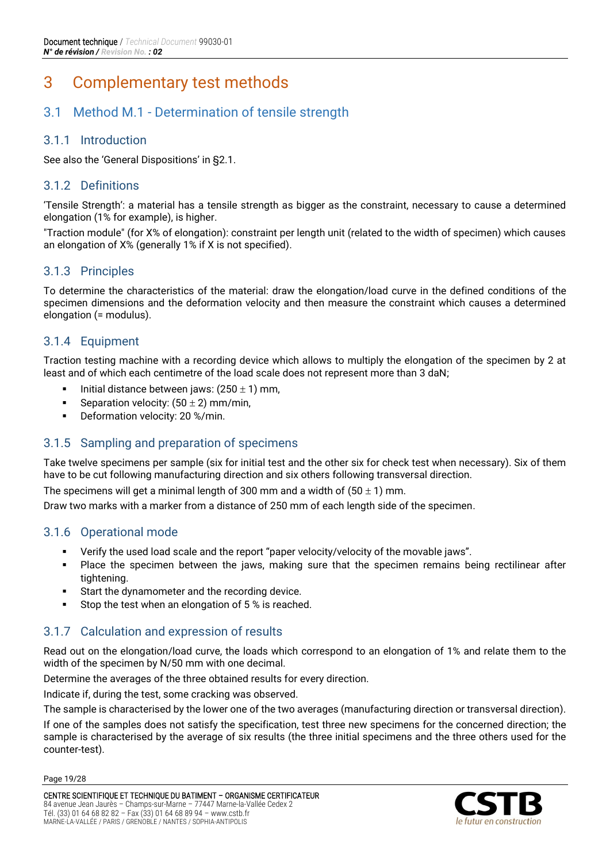# <span id="page-18-0"></span>3 Complementary test methods

# <span id="page-18-1"></span>3.1 Method M.1 - Determination of tensile strength

#### 3.1.1 Introduction

See also the 'General Dispositions' in §2.1.

#### 3.1.2 Definitions

'Tensile Strength': a material has a tensile strength as bigger as the constraint, necessary to cause a determined elongation (1% for example), is higher.

"Traction module" (for X% of elongation): constraint per length unit (related to the width of specimen) which causes an elongation of X% (generally 1% if X is not specified).

#### 3.1.3 Principles

To determine the characteristics of the material: draw the elongation/load curve in the defined conditions of the specimen dimensions and the deformation velocity and then measure the constraint which causes a determined elongation (= modulus).

#### 3.1.4 Equipment

Traction testing machine with a recording device which allows to multiply the elongation of the specimen by 2 at least and of which each centimetre of the load scale does not represent more than 3 daN;

- Initial distance between jaws:  $(250 \pm 1)$  mm,
- **•** Separation velocity:  $(50 \pm 2)$  mm/min,
- Deformation velocity: 20 %/min.

#### 3.1.5 Sampling and preparation of specimens

Take twelve specimens per sample (six for initial test and the other six for check test when necessary). Six of them have to be cut following manufacturing direction and six others following transversal direction.

The specimens will get a minimal length of 300 mm and a width of  $(50 \pm 1)$  mm.

Draw two marks with a marker from a distance of 250 mm of each length side of the specimen.

#### 3.1.6 Operational mode

- Verify the used load scale and the report "paper velocity/velocity of the movable jaws".
- **•** Place the specimen between the jaws, making sure that the specimen remains being rectilinear after tightening.
- Start the dynamometer and the recording device.
- Stop the test when an elongation of 5 % is reached.

#### 3.1.7 Calculation and expression of results

Read out on the elongation/load curve, the loads which correspond to an elongation of 1% and relate them to the width of the specimen by N/50 mm with one decimal.

Determine the averages of the three obtained results for every direction.

Indicate if, during the test, some cracking was observed.

The sample is characterised by the lower one of the two averages (manufacturing direction or transversal direction).

If one of the samples does not satisfy the specification, test three new specimens for the concerned direction; the sample is characterised by the average of six results (the three initial specimens and the three others used for the counter-test).

Page 19/28

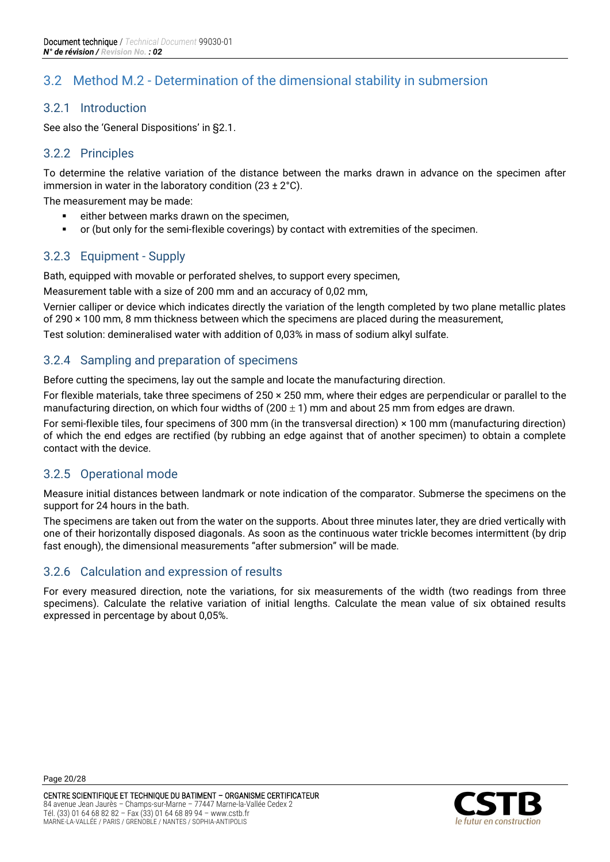# <span id="page-19-0"></span>3.2 Method M.2 - Determination of the dimensional stability in submersion

#### 3.2.1 Introduction

See also the 'General Dispositions' in §2.1.

#### 3.2.2 Principles

To determine the relative variation of the distance between the marks drawn in advance on the specimen after immersion in water in the laboratory condition  $(23 \pm 2^{\circ} \text{C})$ .

The measurement may be made:

- either between marks drawn on the specimen,
- or (but only for the semi-flexible coverings) by contact with extremities of the specimen.

#### 3.2.3 Equipment - Supply

Bath, equipped with movable or perforated shelves, to support every specimen,

Measurement table with a size of 200 mm and an accuracy of 0,02 mm,

Vernier calliper or device which indicates directly the variation of the length completed by two plane metallic plates of 290 × 100 mm, 8 mm thickness between which the specimens are placed during the measurement,

Test solution: demineralised water with addition of 0,03% in mass of sodium alkyl sulfate.

#### 3.2.4 Sampling and preparation of specimens

Before cutting the specimens, lay out the sample and locate the manufacturing direction.

For flexible materials, take three specimens of 250 × 250 mm, where their edges are perpendicular or parallel to the manufacturing direction, on which four widths of  $(200 \pm 1)$  mm and about 25 mm from edges are drawn.

For semi-flexible tiles, four specimens of 300 mm (in the transversal direction) × 100 mm (manufacturing direction) of which the end edges are rectified (by rubbing an edge against that of another specimen) to obtain a complete contact with the device.

#### 3.2.5 Operational mode

Measure initial distances between landmark or note indication of the comparator. Submerse the specimens on the support for 24 hours in the bath.

The specimens are taken out from the water on the supports. About three minutes later, they are dried vertically with one of their horizontally disposed diagonals. As soon as the continuous water trickle becomes intermittent (by drip fast enough), the dimensional measurements "after submersion" will be made.

#### 3.2.6 Calculation and expression of results

For every measured direction, note the variations, for six measurements of the width (two readings from three specimens). Calculate the relative variation of initial lengths. Calculate the mean value of six obtained results expressed in percentage by about 0,05%.

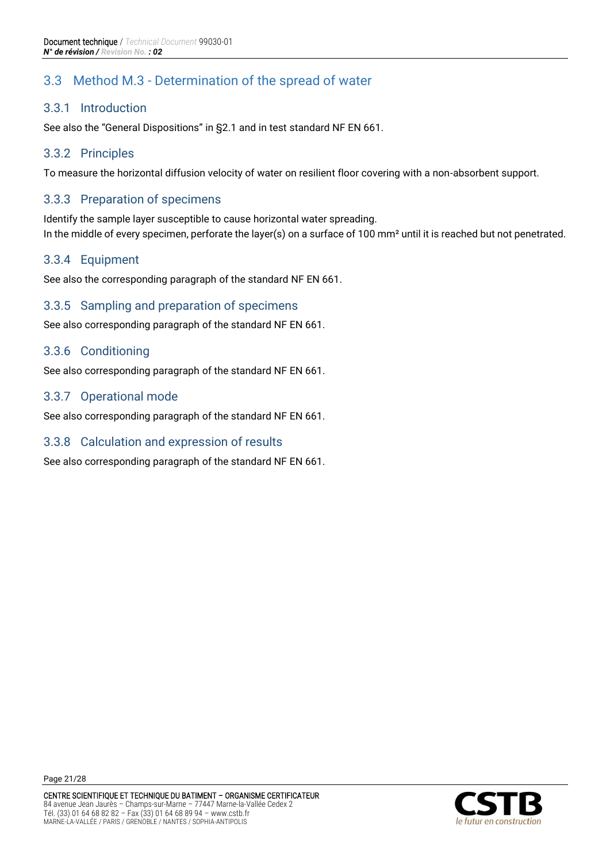# <span id="page-20-0"></span>3.3 Method M.3 - Determination of the spread of water

#### 3.3.1 Introduction

See also the "General Dispositions" in §2.1 and in test standard NF EN 661.

#### 3.3.2 Principles

To measure the horizontal diffusion velocity of water on resilient floor covering with a non-absorbent support.

#### 3.3.3 Preparation of specimens

Identify the sample layer susceptible to cause horizontal water spreading. In the middle of every specimen, perforate the layer(s) on a surface of 100 mm² until it is reached but not penetrated.

#### 3.3.4 Equipment

See also the corresponding paragraph of the standard NF EN 661.

#### 3.3.5 Sampling and preparation of specimens

See also corresponding paragraph of the standard NF EN 661.

#### 3.3.6 Conditioning

See also corresponding paragraph of the standard NF EN 661.

#### 3.3.7 Operational mode

See also corresponding paragraph of the standard NF EN 661.

#### 3.3.8 Calculation and expression of results

See also corresponding paragraph of the standard NF EN 661.

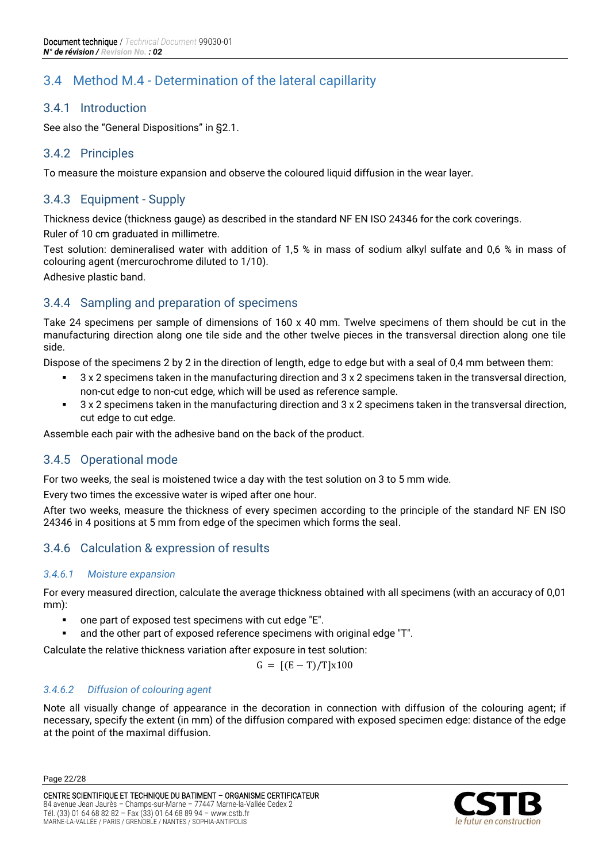# <span id="page-21-0"></span>3.4 Method M.4 - Determination of the lateral capillarity

#### 3.4.1 Introduction

See also the "General Dispositions" in §2.1.

#### 3.4.2 Principles

To measure the moisture expansion and observe the coloured liquid diffusion in the wear layer.

#### 3.4.3 Equipment - Supply

Thickness device (thickness gauge) as described in the standard NF EN ISO 24346 for the cork coverings.

Ruler of 10 cm graduated in millimetre.

Test solution: demineralised water with addition of 1,5 % in mass of sodium alkyl sulfate and 0,6 % in mass of colouring agent (mercurochrome diluted to 1/10).

Adhesive plastic band.

# 3.4.4 Sampling and preparation of specimens

Take 24 specimens per sample of dimensions of 160 x 40 mm. Twelve specimens of them should be cut in the manufacturing direction along one tile side and the other twelve pieces in the transversal direction along one tile side.

Dispose of the specimens 2 by 2 in the direction of length, edge to edge but with a seal of 0,4 mm between them:

- 3 x 2 specimens taken in the manufacturing direction and 3 x 2 specimens taken in the transversal direction, non-cut edge to non-cut edge, which will be used as reference sample.
- 3 x 2 specimens taken in the manufacturing direction and 3 x 2 specimens taken in the transversal direction, cut edge to cut edge.

Assemble each pair with the adhesive band on the back of the product.

# 3.4.5 Operational mode

For two weeks, the seal is moistened twice a day with the test solution on 3 to 5 mm wide.

Every two times the excessive water is wiped after one hour.

After two weeks, measure the thickness of every specimen according to the principle of the standard NF EN ISO 24346 in 4 positions at 5 mm from edge of the specimen which forms the seal.

# 3.4.6 Calculation & expression of results

#### *3.4.6.1 Moisture expansion*

For every measured direction, calculate the average thickness obtained with all specimens (with an accuracy of 0,01 mm):

- one part of exposed test specimens with cut edge "E".
- and the other part of exposed reference specimens with original edge "T".

Calculate the relative thickness variation after exposure in test solution:

$$
G = [(E - T)/T]x100
$$

#### *3.4.6.2 Diffusion of colouring agent*

Note all visually change of appearance in the decoration in connection with diffusion of the colouring agent; if necessary, specify the extent (in mm) of the diffusion compared with exposed specimen edge: distance of the edge at the point of the maximal diffusion.

Page 22/28

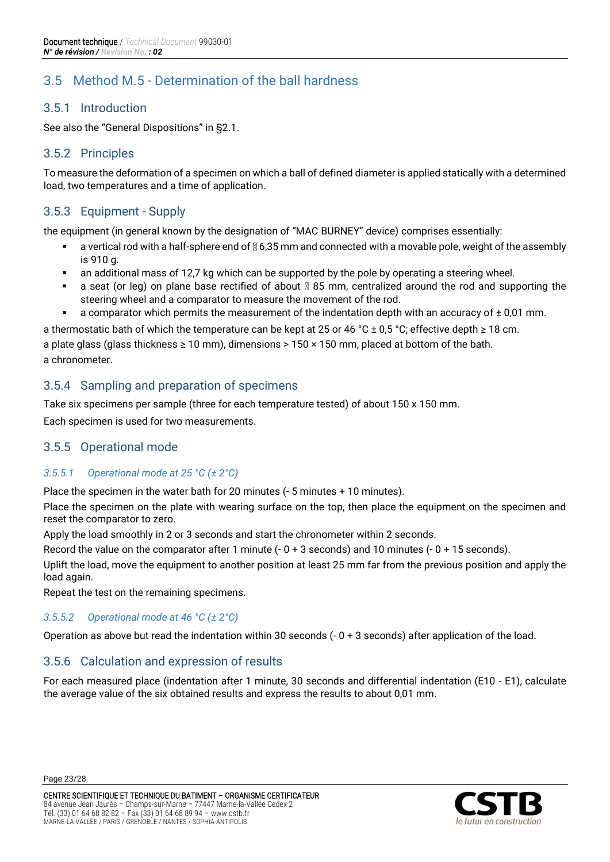# <span id="page-22-0"></span>3.5 Method M.5 - Determination of the ball hardness

#### 3.5.1 Introduction

See also the "General Dispositions" in §2.1.

#### 3.5.2 Principles

To measure the deformation of a specimen on which a ball of defined diameter is applied statically with a determined load, two temperatures and a time of application.

#### 3.5.3 Equipment - Supply

the equipment (in general known by the designation of "MAC BURNEY" device) comprises essentially:

- a vertical rod with a half-sphere end of  $\mathbb{N}$  6,35 mm and connected with a movable pole, weight of the assembly is 910 g.
- an additional mass of 12,7 kg which can be supported by the pole by operating a steering wheel.
- $\bullet$  a seat (or leg) on plane base rectified of about  $\mathbb{Z}$  85 mm, centralized around the rod and supporting the steering wheel and a comparator to measure the movement of the rod.
- a comparator which permits the measurement of the indentation depth with an accuracy of  $\pm$  0,01 mm.

a thermostatic bath of which the temperature can be kept at 25 or 46 °C ± 0,5 °C; effective depth ≥ 18 cm. a plate glass (glass thickness  $\geq 10$  mm), dimensions > 150 x 150 mm, placed at bottom of the bath. a chronometer.

# 3.5.4 Sampling and preparation of specimens

Take six specimens per sample (three for each temperature tested) of about 150 x 150 mm.

Each specimen is used for two measurements.

#### 3.5.5 Operational mode

#### *3.5.5.1 Operational mode at 25 °C (± 2°C)*

Place the specimen in the water bath for 20 minutes (- 5 minutes + 10 minutes).

Place the specimen on the plate with wearing surface on the top, then place the equipment on the specimen and reset the comparator to zero.

Apply the load smoothly in 2 or 3 seconds and start the chronometer within 2 seconds.

Record the value on the comparator after 1 minute (- 0 + 3 seconds) and 10 minutes (- 0 + 15 seconds).

Uplift the load, move the equipment to another position at least 25 mm far from the previous position and apply the load again.

Repeat the test on the remaining specimens.

#### *3.5.5.2 Operational mode at 46 °C (± 2°C)*

Operation as above but read the indentation within 30 seconds  $(-0 + 3$  seconds) after application of the load.

#### 3.5.6 Calculation and expression of results

For each measured place (indentation after 1 minute, 30 seconds and differential indentation (E10 - E1), calculate the average value of the six obtained results and express the results to about 0,01 mm.

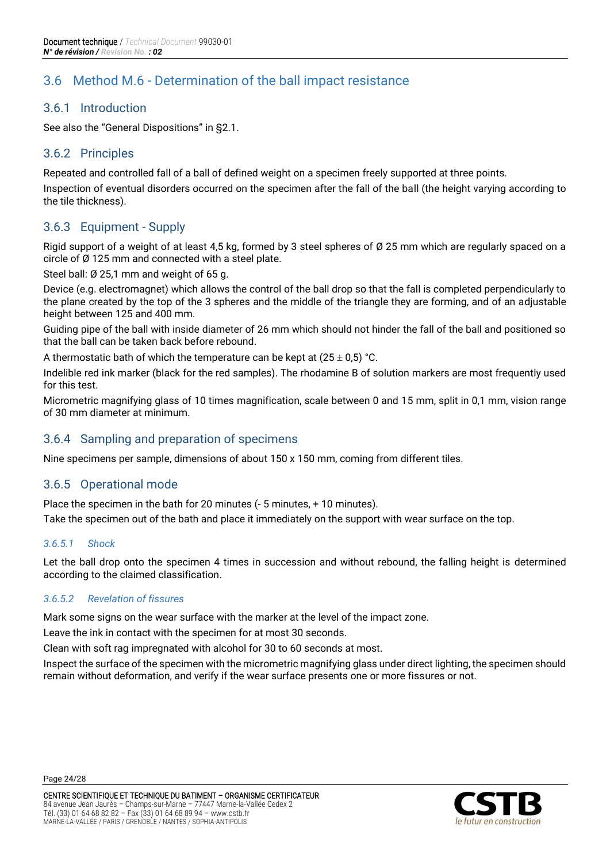# <span id="page-23-0"></span>3.6 Method M.6 - Determination of the ball impact resistance

#### 3.6.1 Introduction

See also the "General Dispositions" in §2.1.

#### 3.6.2 Principles

Repeated and controlled fall of a ball of defined weight on a specimen freely supported at three points.

Inspection of eventual disorders occurred on the specimen after the fall of the ball (the height varying according to the tile thickness).

#### 3.6.3 Equipment - Supply

Rigid support of a weight of at least 4,5 kg, formed by 3 steel spheres of Ø 25 mm which are regularly spaced on a circle of Ø 125 mm and connected with a steel plate.

Steel ball: Ø 25,1 mm and weight of 65 g.

Device (e.g. electromagnet) which allows the control of the ball drop so that the fall is completed perpendicularly to the plane created by the top of the 3 spheres and the middle of the triangle they are forming, and of an adjustable height between 125 and 400 mm.

Guiding pipe of the ball with inside diameter of 26 mm which should not hinder the fall of the ball and positioned so that the ball can be taken back before rebound.

A thermostatic bath of which the temperature can be kept at  $(25 \pm 0.5)$  °C.

Indelible red ink marker (black for the red samples). The rhodamine B of solution markers are most frequently used for this test.

Micrometric magnifying glass of 10 times magnification, scale between 0 and 15 mm, split in 0,1 mm, vision range of 30 mm diameter at minimum.

#### 3.6.4 Sampling and preparation of specimens

Nine specimens per sample, dimensions of about 150 x 150 mm, coming from different tiles.

#### 3.6.5 Operational mode

Place the specimen in the bath for 20 minutes (- 5 minutes, + 10 minutes).

Take the specimen out of the bath and place it immediately on the support with wear surface on the top.

#### *3.6.5.1 Shock*

Let the ball drop onto the specimen 4 times in succession and without rebound, the falling height is determined according to the claimed classification.

#### *3.6.5.2 Revelation of fissures*

Mark some signs on the wear surface with the marker at the level of the impact zone.

Leave the ink in contact with the specimen for at most 30 seconds.

Clean with soft rag impregnated with alcohol for 30 to 60 seconds at most.

Inspect the surface of the specimen with the micrometric magnifying glass under direct lighting, the specimen should remain without deformation, and verify if the wear surface presents one or more fissures or not.



Page 24/28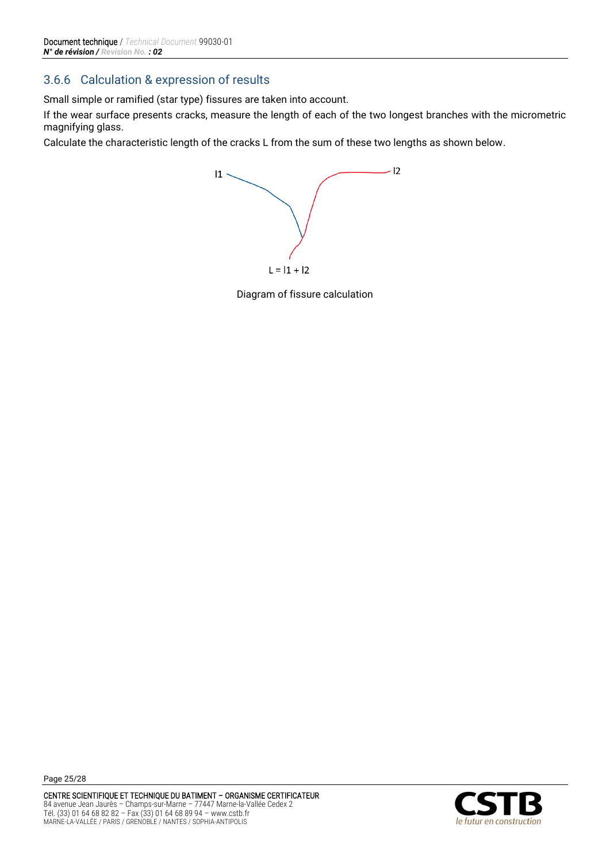# 3.6.6 Calculation & expression of results

Small simple or ramified (star type) fissures are taken into account.

If the wear surface presents cracks, measure the length of each of the two longest branches with the micrometric magnifying glass.

Calculate the characteristic length of the cracks L from the sum of these two lengths as shown below.



Diagram of fissure calculation

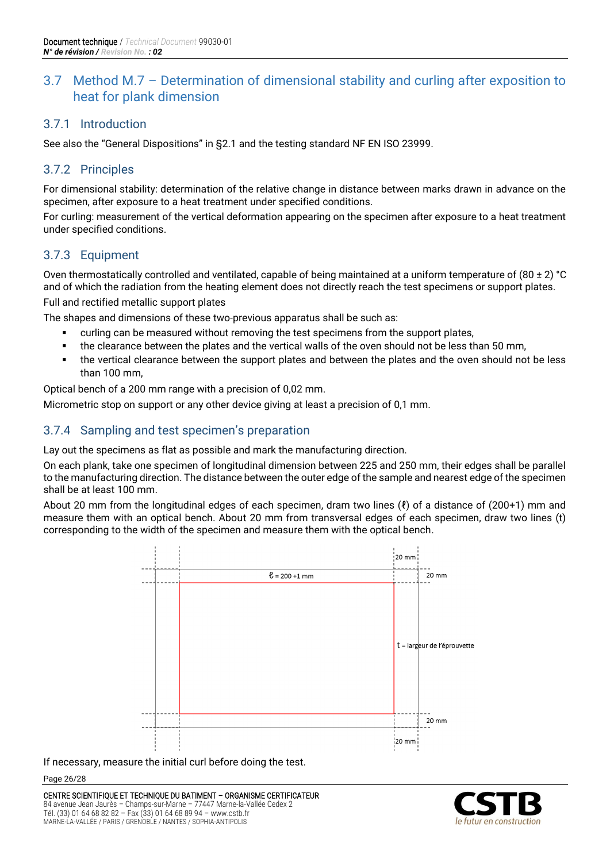# <span id="page-25-0"></span>3.7 Method M.7 – Determination of dimensional stability and curling after exposition to heat for plank dimension

#### 3.7.1 Introduction

See also the "General Dispositions" in §2.1 and the testing standard NF EN ISO 23999.

#### 3.7.2 Principles

For dimensional stability: determination of the relative change in distance between marks drawn in advance on the specimen, after exposure to a heat treatment under specified conditions.

For curling: measurement of the vertical deformation appearing on the specimen after exposure to a heat treatment under specified conditions.

#### 3.7.3 Equipment

Oven thermostatically controlled and ventilated, capable of being maintained at a uniform temperature of  $(80 \pm 2)$  °C and of which the radiation from the heating element does not directly reach the test specimens or support plates.

Full and rectified metallic support plates

The shapes and dimensions of these two-previous apparatus shall be such as:

- curling can be measured without removing the test specimens from the support plates,
- the clearance between the plates and the vertical walls of the oven should not be less than 50 mm,
- the vertical clearance between the support plates and between the plates and the oven should not be less than 100 mm,

Optical bench of a 200 mm range with a precision of 0,02 mm.

Micrometric stop on support or any other device giving at least a precision of 0,1 mm.

#### 3.7.4 Sampling and test specimen's preparation

Lay out the specimens as flat as possible and mark the manufacturing direction.

On each plank, take one specimen of longitudinal dimension between 225 and 250 mm, their edges shall be parallel to the manufacturing direction. The distance between the outer edge of the sample and nearest edge of the specimen shall be at least 100 mm.

About 20 mm from the longitudinal edges of each specimen, dram two lines (ℓ) of a distance of (200+1) mm and measure them with an optical bench. About 20 mm from transversal edges of each specimen, draw two lines (t) corresponding to the width of the specimen and measure them with the optical bench.



If necessary, measure the initial curl before doing the test.

Page 26/28



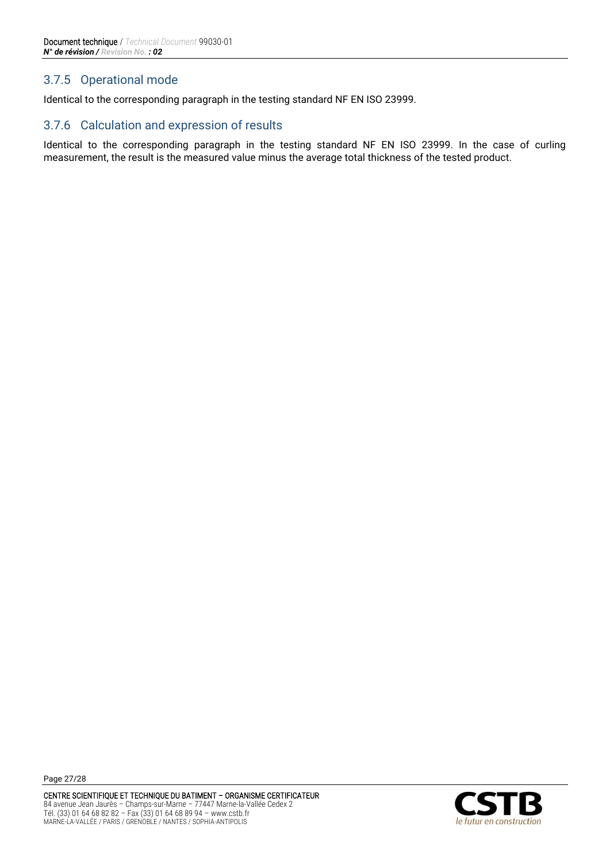### 3.7.5 Operational mode

Identical to the corresponding paragraph in the testing standard NF EN ISO 23999.

#### 3.7.6 Calculation and expression of results

Identical to the corresponding paragraph in the testing standard NF EN ISO 23999. In the case of curling measurement, the result is the measured value minus the average total thickness of the tested product.